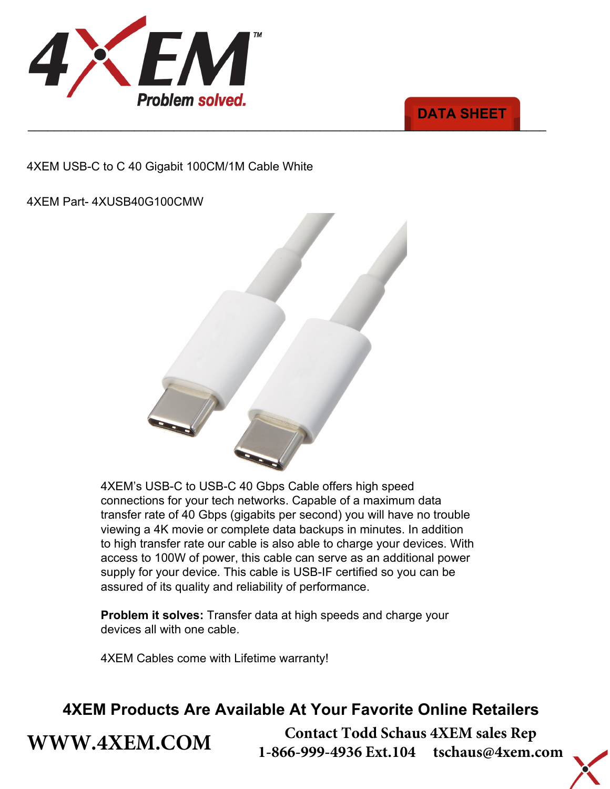



4XEM USB-C to C 40 Gigabit 100CM/1M Cable White

4XEM Part- 4XUSB40G100CMW



4XEM's USB-C to USB-C 40 Gbps Cable offers high speed connections for your tech networks. Capable of a maximum data transfer rate of 40 Gbps (gigabits per second) you will have no trouble viewing a 4K movie or complete data backups in minutes. In addition to high transfer rate our cable is also able to charge your devices. With access to 100W of power, this cable can serve as an additional power supply for your device. This cable is USB-IF certified so you can be assured of its quality and reliability of performance.

**Problem it solves:** Transfer data at high speeds and charge your devices all with one cable.

4XEM Cables come with Lifetime warranty!

**[WWW.4XEM.COM](www.4xem.com)** 

## **4XEM Products Are Available At Your Favorite Online Retailers**

**Contact Todd Schaus 4XEM sales Rep 1-866-999-4936 Ext.104 tschaus@4xem.com**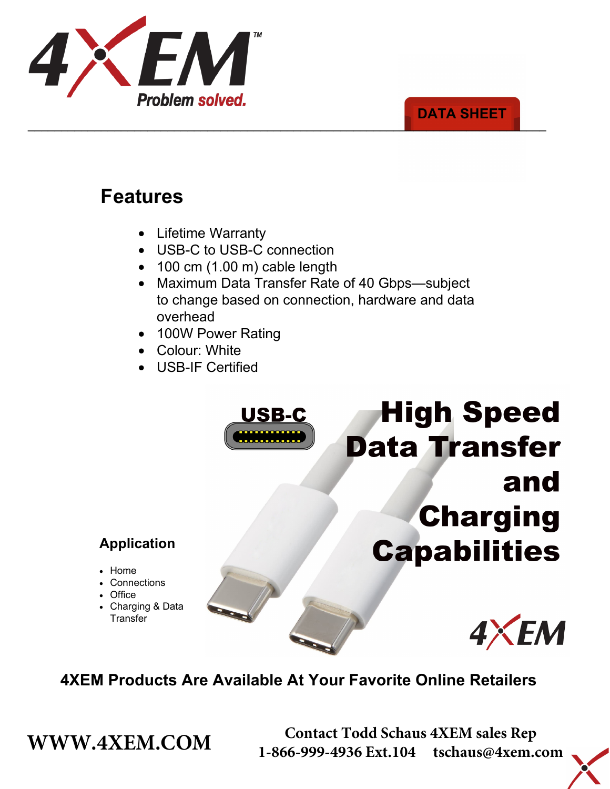

### \_\_\_\_\_\_\_\_\_\_\_\_\_\_\_\_\_\_\_\_\_\_\_\_\_\_\_\_\_\_\_\_\_\_\_\_\_\_\_\_\_\_\_\_\_\_\_\_\_\_\_\_\_\_\_\_\_\_\_\_\_\_\_\_\_\_\_\_\_\_\_\_\_\_\_\_\_\_ **DATA SHEET**

# **Features**

- Lifetime Warranty
- USB-C to USB-C connection
- 100 cm (1.00 m) cable length
- Maximum Data Transfer Rate of 40 Gbps—subject to change based on connection, hardware and data overhead

USB-C

- 100W Power Rating
- Colour: White
- USB-IF Certified

# **High Speed Data Transfer** and **Charging Capabilities**

### **Application**

- Home
- Connections
- Office
- Charging & Data **Transfer**



## **4XEM Products Are Available At Your Favorite Online Retailers**

**WWW.4XEM.COM** <sup>Contact Todd Schaus 4XEM sales Rep<br>1-866-999-4936 Ext.104 tschaus@4xem.com</sup> 1-866-999-4936 Ext.104